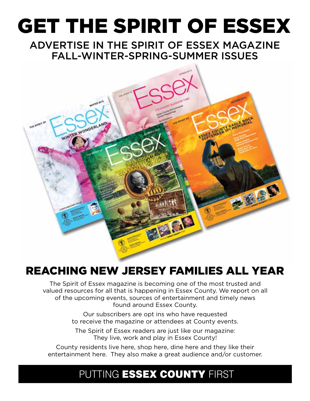# GET THE SPIRIT OF ESSEX

ADVERTISE IN THE SPIRIT OF ESSEX MAGAZINE FALL-WINTER-SPRING-SUMMER ISSUES



## REACHING NEW JERSEY FAMILIES ALL YEAR

The Spirit of Essex magazine is becoming one of the most trusted and valued resources for all that is happening in Essex County. We report on all of the upcoming events, sources of entertainment and timely news found around Essex County.

> Our subscribers are opt ins who have requested to receive the magazine or attendees at County events.

The Spirit of Essex readers are just like our magazine: They live, work and play in Essex County!

County residents live here, shop here, dine here and they like their entertainment here. They also make a great audience and/or customer.

## PUTTING ESSEX COUNTY FIRST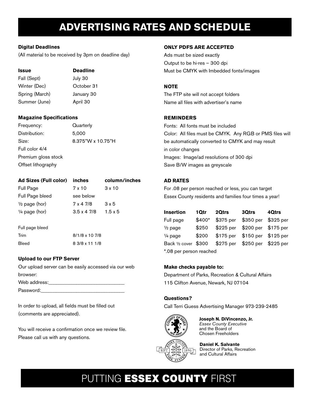## **ADVERTISING RATES AND SCHEDULE**

#### **Digital Deadlines**

(All material to be received by 3pm on deadline day)

#### **Issue Deadline**

| Fall (Sept)    | July 30    |
|----------------|------------|
| Winter (Dec)   | October 31 |
| Spring (March) | January 30 |
| Summer (June)  | April 30   |

#### **Magazine Specifications**

Frequency: Quarterly Distribution: 5,000 Size: 8.375"W x 10.75"H Full color 4/4 Premium gloss stock Offset lithography

| Ad Sizes (Full color) inches |                   | column/inches  |
|------------------------------|-------------------|----------------|
| Full Page                    | 7 x 10            | 3 x 10         |
| Full Page bleed              | see below         |                |
| $\frac{1}{2}$ page (hor)     | 7 x 4 7/8         | 3 x 5          |
| $\frac{1}{4}$ page (hor)     | $3.5 \times 47/8$ | $1.5 \times 5$ |
|                              |                   |                |

Full page bleed Trim 8/1/8 x 10 7/8 Bleed 8 3/8 x 11 1/8

#### **Upload to our FTP Server**

Our upload server can be easily accessed via our web browser: Web address: Password:

In order to upload, all fields must be filled out (comments are appreciated).

You will receive a confirmation once we review file. Please call us with any questions.

#### **ONLY PDFS ARE ACCEPTED**

Ads must be sized exactly Output to be hi-res – 300 dpi Must be CMYK with Imbedded fonts/images

#### **NOTE**

The FTP site will not accept folders Name all files with advertiser's name

#### **REMINDERS**

Fonts: All fonts must be included Color: All files must be CMYK. Any RGB or PMS files will be automatically converted to CMYK and may result in color changes Images: Image/ad resolutions of 300 dpi Save B/W images as greyscale

#### **AD RATES**

For .08 per person reached or less, you can target Essex County residents and families four times a year!

| <b>Insertion</b>        | 1Qtr   | 2Qtrs     | 3Qtrs               | 40trs     |
|-------------------------|--------|-----------|---------------------|-----------|
| Full page               | \$400* | \$375 per | \$350 per           | \$325 per |
| $\frac{1}{2}$ page      | \$250  | \$225 per | \$200 per \$175 per |           |
| $\frac{1}{4}$ page      | \$200  | \$175 per | \$150 per \$125 per |           |
| Back 1/2 cover \$300    |        | \$275 per | \$250 per \$225 per |           |
| *.08 per person reached |        |           |                     |           |

#### **Make checks payable to:**

Department of Parks, Recreation & Cultural Affairs 115 Clifton Avenue, Newark, NJ 07104

#### **Questions?**

Call Terri Guess Advertising Manager 973-239-2485



**Joseph N. DiVincenzo, Jr.** *Essex County Executive* and the Board of Chosen Freeholders



**Daniel K. Salvante** Director of Parks, Recreation and Cultural Affairs

## PUTTING ESSEX COUNTY FIRST